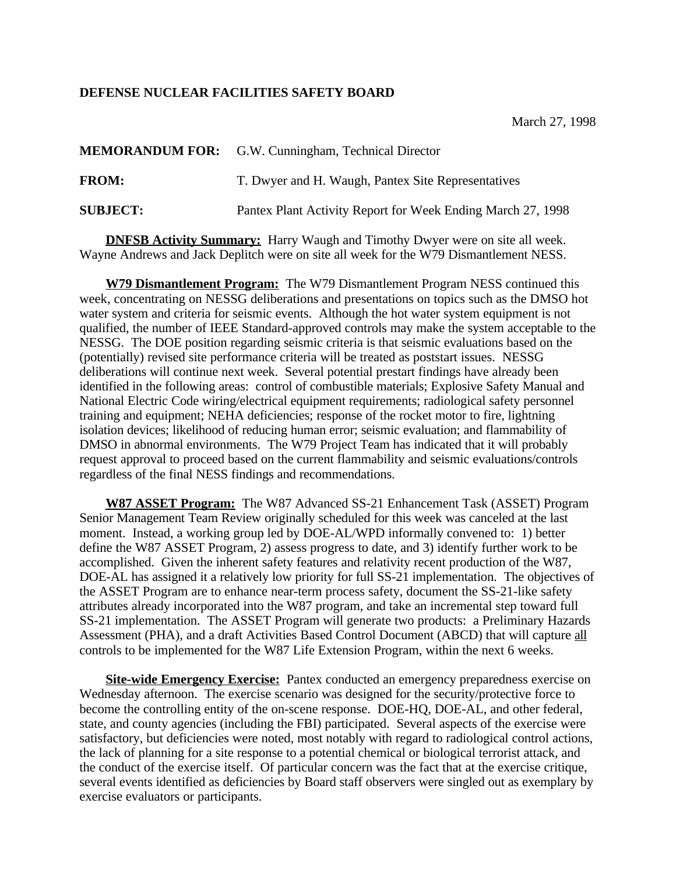## **DEFENSE NUCLEAR FACILITIES SAFETY BOARD**

|                 | <b>MEMORANDUM FOR:</b> G.W. Cunningham, Technical Director  |
|-----------------|-------------------------------------------------------------|
| <b>FROM:</b>    | T. Dwyer and H. Waugh, Pantex Site Representatives          |
| <b>SUBJECT:</b> | Pantex Plant Activity Report for Week Ending March 27, 1998 |

**DNFSB Activity Summary:** Harry Waugh and Timothy Dwyer were on site all week. Wayne Andrews and Jack Deplitch were on site all week for the W79 Dismantlement NESS.

**W79 Dismantlement Program:** The W79 Dismantlement Program NESS continued this week, concentrating on NESSG deliberations and presentations on topics such as the DMSO hot water system and criteria for seismic events. Although the hot water system equipment is not qualified, the number of IEEE Standard-approved controls may make the system acceptable to the NESSG. The DOE position regarding seismic criteria is that seismic evaluations based on the (potentially) revised site performance criteria will be treated as poststart issues. NESSG deliberations will continue next week. Several potential prestart findings have already been identified in the following areas: control of combustible materials; Explosive Safety Manual and National Electric Code wiring/electrical equipment requirements; radiological safety personnel training and equipment; NEHA deficiencies; response of the rocket motor to fire, lightning isolation devices; likelihood of reducing human error; seismic evaluation; and flammability of DMSO in abnormal environments. The W79 Project Team has indicated that it will probably request approval to proceed based on the current flammability and seismic evaluations/controls regardless of the final NESS findings and recommendations.

**W87 ASSET Program:** The W87 Advanced SS-21 Enhancement Task (ASSET) Program Senior Management Team Review originally scheduled for this week was canceled at the last moment. Instead, a working group led by DOE-AL/WPD informally convened to: 1) better define the W87 ASSET Program, 2) assess progress to date, and 3) identify further work to be accomplished. Given the inherent safety features and relativity recent production of the W87, DOE-AL has assigned it a relatively low priority for full SS-21 implementation. The objectives of the ASSET Program are to enhance near-term process safety, document the SS-21-like safety attributes already incorporated into the W87 program, and take an incremental step toward full SS-21 implementation. The ASSET Program will generate two products: a Preliminary Hazards Assessment (PHA), and a draft Activities Based Control Document (ABCD) that will capture all controls to be implemented for the W87 Life Extension Program, within the next 6 weeks.

**Site-wide Emergency Exercise:** Pantex conducted an emergency preparedness exercise on Wednesday afternoon. The exercise scenario was designed for the security/protective force to become the controlling entity of the on-scene response. DOE-HQ, DOE-AL, and other federal, state, and county agencies (including the FBI) participated. Several aspects of the exercise were satisfactory, but deficiencies were noted, most notably with regard to radiological control actions, the lack of planning for a site response to a potential chemical or biological terrorist attack, and the conduct of the exercise itself. Of particular concern was the fact that at the exercise critique, several events identified as deficiencies by Board staff observers were singled out as exemplary by exercise evaluators or participants.